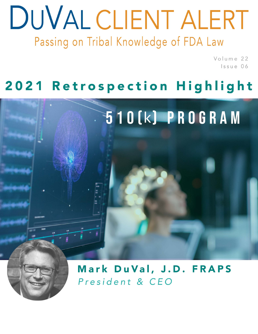# DUVAL CLIENT ALERT Passing on Tribal Knowledge of FDA Law

Volume 22 Issue 06

## 2021 Retrospection Highlight



President & CEO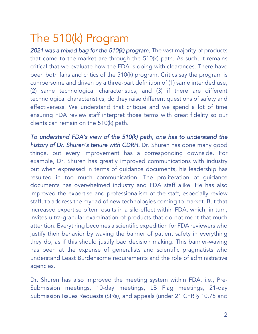### The 510(k) Program

2021 was a mixed bag for the 510(k) program. The vast majority of products that come to the market are through the 510(k) path. As such, it remains critical that we evaluate how the FDA is doing with clearances. There have been both fans and critics of the 510(k) program. Critics say the program is cumbersome and driven by a three-part definition of (1) same intended use, (2) same technological characteristics, and (3) if there are different technological characteristics, do they raise different questions of safety and effectiveness. We understand that critique and we spend a lot of time ensuring FDA review staff interpret those terms with great fidelity so our clients can remain on the 510(k) path.

*To understand FDA's view of the 510(k) path, one has to understand the history of Dr. Shuren's tenure with CDRH.* Dr. Shuren has done many good things, but every improvement has a corresponding downside. For example, Dr. Shuren has greatly improved communications with industry but when expressed in terms of guidance documents, his leadership has resulted in too much communication. The proliferation of guidance documents has overwhelmed industry and FDA staff alike. He has also improved the expertise and professionalism of the staff, especially review staff, to address the myriad of new technologies coming to market. But that increased expertise often results in a silo-effect within FDA, which, in turn, invites ultra-granular examination of products that do not merit that much attention. Everything becomes a scientific expedition for FDA reviewers who justify their behavior by waving the banner of patient safety in everything they do, as if this should justify bad decision making. This banner-waving has been at the expense of generalists and scientific pragmatists who understand Least Burdensome requirements and the role of administrative agencies.

Dr. Shuren has also improved the meeting system within FDA, i.e., Pre-Submission meetings, 10-day meetings, LB Flag meetings, 21-day Submission Issues Requests (SIRs), and appeals (under 21 CFR § 10.75 and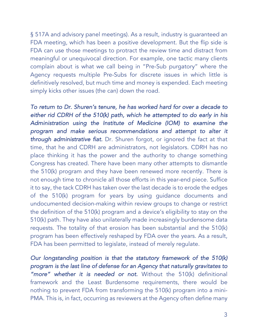§ 517A and advisory panel meetings). As a result, industry is guaranteed an FDA meeting, which has been a positive development. But the flip side is FDA can use those meetings to protract the review time and distract from meaningful or unequivocal direction. For example, one tactic many clients complain about is what we call being in "Pre-Sub purgatory" where the Agency requests multiple Pre-Subs for discrete issues in which little is definitively resolved, but much time and money is expended. Each meeting simply kicks other issues (the can) down the road.

*To return to Dr. Shuren's tenure, he has worked hard for over a decade to either rid CDRH of the 510(k) path, which he attempted to do early in his Administration using the Institute of Medicine (IOM) to examine the program and make serious recommendations and attempt to alter it through administrative fiat.* Dr. Shuren forgot, or ignored the fact at that time, that he and CDRH are administrators, not legislators. CDRH has no place thinking it has the power and the authority to change something Congress has created. There have been many other attempts to dismantle the 510(k) program and they have been renewed more recently. There is not enough time to chronicle all those efforts in this year-end piece. Suffice it to say, the tack CDRH has taken over the last decade is to erode the edges of the 510(k) program for years by using guidance documents and undocumented decision-making within review groups to change or restrict the definition of the 510(k) program and a device's eligibility to stay on the 510(k) path. They have also unilaterally made increasingly burdensome data requests. The totality of that erosion has been substantial and the 510(k) program has been effectively reshaped by FDA over the years. As a result, FDA has been permitted to legislate, instead of merely regulate.

*Our longstanding position is that the statutory framework of the 510(k) program is the last line of defense for an Agency that naturally gravitates to "more" whether it is needed or not.* Without the 510(k) definitional framework and the Least Burdensome requirements, there would be nothing to prevent FDA from transforming the 510(k) program into a mini-PMA. This is, in fact, occurring as reviewers at the Agency often define many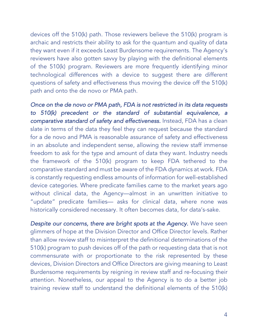devices off the 510(k) path. Those reviewers believe the 510(k) program is archaic and restricts their ability to ask for the quantum and quality of data they want even if it exceeds Least Burdensome requirements. The Agency's reviewers have also gotten savvy by playing with the definitional elements of the 510(k) program. Reviewers are more frequently identifying minor technological differences with a device to suggest there are different questions of safety and effectiveness thus moving the device off the 510(k) path and onto the de novo or PMA path.

*Once on the de novo or PMA path, FDA is not restricted in its data requests to 510(k) precedent or the standard of substantial equivalence, a comparative standard of safety and effectiveness.* Instead, FDA has a clean slate in terms of the data they feel they can request because the standard for a de novo and PMA is reasonable assurance of safety and effectiveness in an absolute and independent sense, allowing the review staff immense freedom to ask for the type and amount of data they want. Industry needs the framework of the 510(k) program to keep FDA tethered to the comparative standard and must be aware of the FDA dynamics at work. FDA is constantly requesting endless amounts of information for well-established device categories. Where predicate families came to the market years ago without clinical data, the Agency—almost in an unwritten initiative to "update" predicate families— asks for clinical data, where none was historically considered necessary. It often becomes data, for data's-sake.

*Despite our concerns, there are bright spots at the Agency.* We have seen glimmers of hope at the Division Director and Office Director levels. Rather than allow review staff to misinterpret the definitional determinations of the 510(k) program to push devices off of the path or requesting data that is not commensurate with or proportionate to the risk represented by these devices, Division Directors and Office Directors are giving meaning to Least Burdensome requirements by reigning in review staff and re-focusing their attention. Nonetheless, our appeal to the Agency is to do a better job training review staff to understand the definitional elements of the 510(k)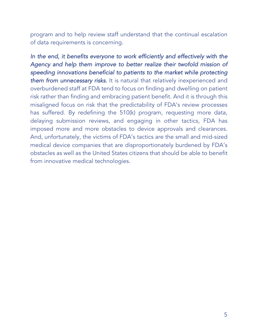program and to help review staff understand that the continual escalation of data requirements is concerning.

In the end, it benefits everyone to work efficiently and effectively with the *Agency and help them improve to better realize their twofold mission of speeding innovations beneficial to patients to the market while protecting them from unnecessary risks.* It is natural that relatively inexperienced and overburdened staff at FDA tend to focus on finding and dwelling on patient risk rather than finding and embracing patient benefit. And it is through this misaligned focus on risk that the predictability of FDA's review processes has suffered. By redefining the 510(k) program, requesting more data, delaying submission reviews, and engaging in other tactics, FDA has imposed more and more obstacles to device approvals and clearances. And, unfortunately, the victims of FDA's tactics are the small and mid-sized medical device companies that are disproportionately burdened by FDA's obstacles as well as the United States citizens that should be able to benefit from innovative medical technologies.